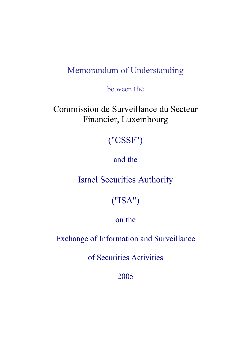## Memorandum of Understanding

between the

Commission de Surveillance du Secteur Financier, Luxembourg

# ("CSSF")

### and the

Israel Securities Authority

# ("ISA")

### on the

Exchange of Information and Surveillance

of Securities Activities

2005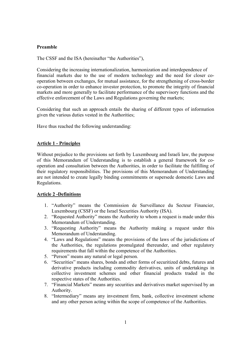#### **Preamble**

The CSSF and the ISA (hereinafter "the Authorities"),

Considering the increasing internationalization, harmonization and interdependence of financial markets due to the use of modern technology and the need for closer cooperation between exchanges, for mutual assistance, for the strengthening of cross-border co-operation in order to enhance investor protection, to promote the integrity of financial markets and more generally to facilitate performance of the supervisory functions and the effective enforcement of the Laws and Regulations governing the markets;

Considering that such an approach entails the sharing of different types of information given the various duties vested in the Authorities;

Have thus reached the following understanding:

#### **Article 1 - Principles**

Without prejudice to the provisions set forth by Luxembourg and Israeli law, the purpose of this Memorandum of Understanding is to establish a general framework for cooperation and consultation between the Authorities, in order to facilitate the fulfilling of their regulatory responsibilities. The provisions of this Memorandum of Understanding are not intended to create legally binding commitments or supersede domestic Laws and Regulations.

#### **Article 2 -Definitions**

- 1. "Authority" means the Commission de Surveillance du Secteur Financier, Luxembourg (CSSF) or the Israel Securities Authority (ISA).
- 2. "Requested Authority" means the Authority to whom a request is made under this Memorandum of Understanding.
- 3. "Requesting Authority" means the Authority making a request under this Memorandum of Understanding.
- 4. "Laws and Regulations" means the provisions of the laws of the jurisdictions of the Authorities, the regulations promulgated thereunder, and other regulatory requirements that fall within the competence of the Authorities.
- 5. "Person" means any natural or legal person.
- 6. "Securities" means shares, bonds and other forms of securitized debts, futures and derivative products including commodity derivatives, units of undertakings in collective investment schemes and other financial products traded in the respective states of the Authorities.
- 7. "Financial Markets" means any securities and derivatives market supervised by an Authority.
- 8. "Intermediary" means any investment firm, bank, collective investment scheme and any other person acting within the scope of competence of the Authorities.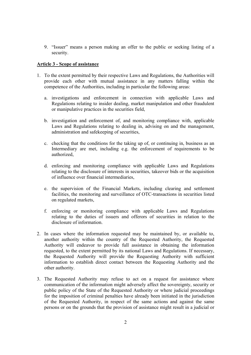9. "Issuer" means a person making an offer to the public or seeking listing of a security.

#### **Article 3 - Scope of assistance**

- 1. To the extent permitted by their respective Laws and Regulations, the Authorities will provide each other with mutual assistance in any matters falling within the competence of the Authorities, including in particular the following areas:
	- a. investigations and enforcement in connection with applicable Laws and Regulations relating to insider dealing, market manipulation and other fraudulent or manipulative practices in the securities field,
	- b. investigation and enforcement of, and monitoring compliance with, applicable Laws and Regulations relating to dealing in, advising on and the management, administration and safekeeping of securities,
	- c. checking that the conditions for the taking up of, or continuing in, business as an Intermediary are met, including e.g. the enforcement of requirements to be authorized,
	- d. enforcing and monitoring compliance with applicable Laws and Regulations relating to the disclosure of interests in securities, takeover bids or the acquisition of influence over financial intermediaries,
	- e. the supervision of the Financial Markets, including clearing and settlement facilities, the monitoring and surveillance of OTC-transactions in securities listed on regulated markets,
	- f. enforcing or monitoring compliance with applicable Laws and Regulations relating to the duties of issuers and offerors of securities in relation to the disclosure of information.
- 2. In cases where the information requested may be maintained by, or available to, another authority within the country of the Requested Authority, the Requested Authority will endeavor to provide full assistance in obtaining the information requested, to the extent permitted by its national Laws and Regulations. If necessary, the Requested Authority will provide the Requesting Authority with sufficient information to establish direct contact between the Requesting Authority and the other authority.
- 3. The Requested Authority may refuse to act on a request for assistance where communication of the information might adversely affect the sovereignty, security or public policy of the State of the Requested Authority or where judicial proceedings for the imposition of criminal penalties have already been initiated in the jurisdiction of the Requested Authority, in respect of the same actions and against the same persons or on the grounds that the provision of assistance might result in a judicial or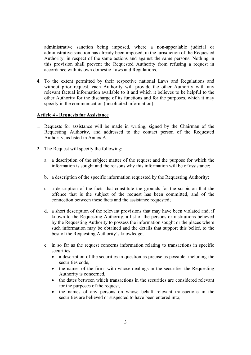administrative sanction being imposed, where a non-appealable judicial or administrative sanction has already been imposed, in the jurisdiction of the Requested Authority, in respect of the same actions and against the same persons. Nothing in this provision shall prevent the Requested Authority from refusing a request in accordance with its own domestic Laws and Regulations.

4. To the extent permitted by their respective national Laws and Regulations and without prior request, each Authority will provide the other Authority with any relevant factual information available to it and which it believes to be helpful to the other Authority for the discharge of its functions and for the purposes, which it may specify in the communication (unsolicited information).

#### **Article 4 - Requests for Assistance**

- 1. Requests for assistance will be made in writing, signed by the Chairman of the Requesting Authority, and addressed to the contact person of the Requested Authority, as listed in Annex A.
- 2. The Request will specify the following:
	- a. a description of the subject matter of the request and the purpose for which the information is sought and the reasons why this information will be of assistance;
	- b. a description of the specific information requested by the Requesting Authority;
	- c. a description of the facts that constitute the grounds for the suspicion that the offence that is the subject of the request has been committed, and of the connection between these facts and the assistance requested;
	- d. a short description of the relevant provisions that may have been violated and, if known to the Requesting Authority, a list of the persons or institutions believed by the Requesting Authority to possess the information sought or the places where such information may be obtained and the details that support this belief, to the best of the Requesting Authority's knowledge;
	- e. in so far as the request concerns information relating to transactions in specific securities
		- a description of the securities in question as precise as possible, including the securities code,
		- the names of the firms with whose dealings in the securities the Requesting Authority is concerned,
		- the dates between which transactions in the securities are considered relevant for the purposes of the request,
		- the names of any persons on whose behalf relevant transactions in the securities are believed or suspected to have been entered into;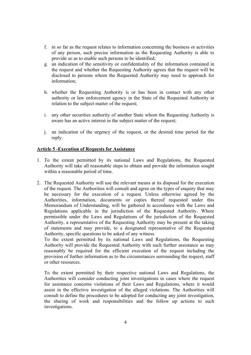- f. in so far as the request relates to information concerning the business or activities of any person, such precise information as the Requesting Authority is able to provide so as to enable such persons to be identified;
- g. an indication of the sensitivity or confidentiality of the information contained in the request and whether the Requesting Authority agrees that the request will be disclosed to persons whom the Requested Authority may need to approach for information;
- h. whether the Requesting Authority is or has been in contact with any other authority or law enforcement agency in the State of the Requested Authority in relation to the subject matter of the request;
- i. any other securities authority of another State whom the Requesting Authority is aware has an active interest in the subject matter of the request;
- j. an indication of the urgency of the request, or the desired time period for the reply.

#### **Article 5 -Execution of Requests for Assistance**

- 1. To the extent permitted by its national Laws and Regulations, the Requested Authority will take all reasonable steps to obtain and provide the information sought within a reasonable period of time.
- 2. The Requested Authority will use the relevant means at its disposal for the execution of the request. The Authorities will consult and agree on the types of enquiry that may be necessary for the execution of a request. Unless otherwise agreed by the Authorities, information, documents or copies thereof requested under this Memorandum of Understanding, will be gathered in accordance with the Laws and Regulations applicable in the jurisdiction of the Requested Authority. Where permissible under the Laws and Regulations of the jurisdiction of the Requested Authority, a representative of the Requesting Authority may be present at the taking of statements and may provide, to a designated representative of the Requested Authority, specific questions to be asked of any witness.

To the extent permitted by its national Laws and Regulations, the Requesting Authority will provide the Requested Authority with such further assistance as may reasonably be required for the efficient execution of the request including the provision of further information as to the circumstances surrounding the request, staff or other resources.

To the extent permitted by their respective national Laws and Regulations, the Authorities will consider conducting joint investigations in cases where the request for assistance concerns violations of their Laws and Regulations, where it would assist in the effective investigation of the alleged violations. The Authorities will consult to define the procedures to be adopted for conducting any joint investigation, the sharing of work and responsibilities and the follow up actions to such investigations.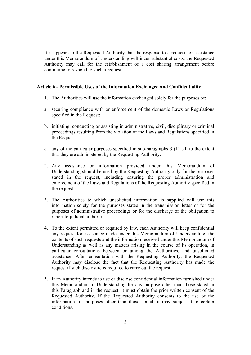If it appears to the Requested Authority that the response to a request for assistance under this Memorandum of Understanding will incur substantial costs, the Requested Authority may call for the establishment of a cost sharing arrangement before continuing to respond to such a request.

#### **Article 6 - Permissible Uses of the Information Exchanged and Confidentiality**

- 1. The Authorities will use the information exchanged solely for the purposes of:
- a. securing compliance with or enforcement of the domestic Laws or Regulations specified in the Request;
- b. initiating, conducting or assisting in administrative, civil, disciplinary or criminal proceedings resulting from the violation of the Laws and Regulations specified in the Request.
- c. any of the particular purposes specified in sub-paragraphs  $3$  (1)a.-f. to the extent that they are administered by the Requesting Authority.
- 2. Any assistance or information provided under this Memorandum of Understanding should be used by the Requesting Authority only for the purposes stated in the request, including ensuring the proper administration and enforcement of the Laws and Regulations of the Requesting Authority specified in the request;
- 3. The Authorities to which unsolicited information is supplied will use this information solely for the purposes stated in the transmission letter or for the purposes of administrative proceedings or for the discharge of the obligation to report to judicial authorities.
- 4. To the extent permitted or required by law, each Authority will keep confidential any request for assistance made under this Memorandum of Understanding, the contents of such requests and the information received under this Memorandum of Understanding as well as any matters arising in the course of its operation, in particular consultations between or among the Authorities, and unsolicited assistance. After consultation with the Requesting Authority, the Requested Authority may disclose the fact that the Requesting Authority has made the request if such disclosure is required to carry out the request.
- 5. If an Authority intends to use or disclose confidential information furnished under this Memorandum of Understanding for any purpose other than those stated in this Paragraph and in the request, it must obtain the prior written consent of the Requested Authority. If the Requested Authority consents to the use of the information for purposes other than those stated, it may subject it to certain conditions.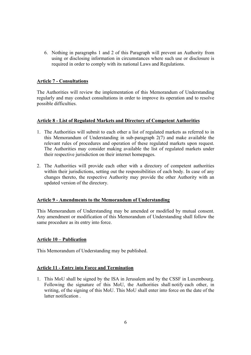6. Nothing in paragraphs 1 and 2 of this Paragraph will prevent an Authority from using or disclosing information in circumstances where such use or disclosure is required in order to comply with its national Laws and Regulations.

#### **Article 7 - Consultations**

The Authorities will review the implementation of this Memorandum of Understanding regularly and may conduct consultations in order to improve its operation and to resolve possible difficulties.

#### **Article 8 - List of Regulated Markets and Directory of Competent Authorities**

- 1. The Authorities will submit to each other a list of regulated markets as referred to in this Memorandum of Understanding in sub-paragraph 2(7) and make available the relevant rules of procedures and operation of these regulated markets upon request. The Authorities may consider making available the list of regulated markets under their respective jurisdiction on their internet homepages.
- 2. The Authorities will provide each other with a directory of competent authorities within their jurisdictions, setting out the responsibilities of each body. In case of any changes thereto, the respective Authority may provide the other Authority with an updated version of the directory.

#### **Article 9 - Amendments to the Memorandum of Understanding**

This Memorandum of Understanding may be amended or modified by mutual consent. Any amendment or modification of this Memorandum of Understanding shall follow the same procedure as its entry into force.

#### **Article 10 – Publication**

This Memorandum of Understanding may be published.

#### **Article 11 - Entry into Force and Termination**

1. This MoU shall be signed by the ISA in Jerusalem and by the CSSF in Luxembourg. Following the signature of this MoU, the Authorities shall notify each other, in writing, of the signing of this MoU. This MoU shall enter into force on the date of the latter notification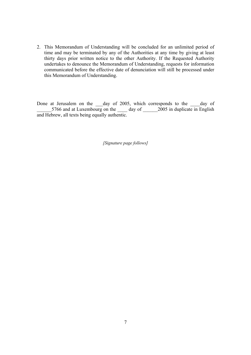2. This Memorandum of Understanding will be concluded for an unlimited period of time and may be terminated by any of the Authorities at any time by giving at least thirty days prior written notice to the other Authority. If the Requested Authority undertakes to denounce the Memorandum of Understanding, requests for information communicated before the effective date of denunciation will still be processed under this Memorandum of Understanding.

Done at Jerusalem on the day of 2005, which corresponds to the day of 5766 and at Luxembourg on the day of 2005 in duplicate in English and Hebrew, all texts being equally authentic.

*[Signature page follows]*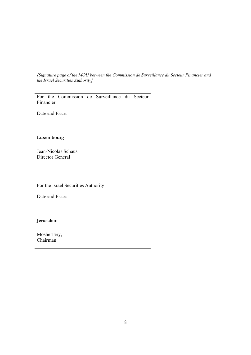*[Signature page of the MOU between the Commission de Surveillance du Secteur Financier and the Israel Securities Authority]* 

For the Commission de Surveillance du Secteur Financier

Date and Place:

#### **Luxembourg**

Jean-Nicolas Schaus, Director General

For the Israel Securities Authority

Date and Place:

**Jerusalem** 

Moshe Tery, Chairman